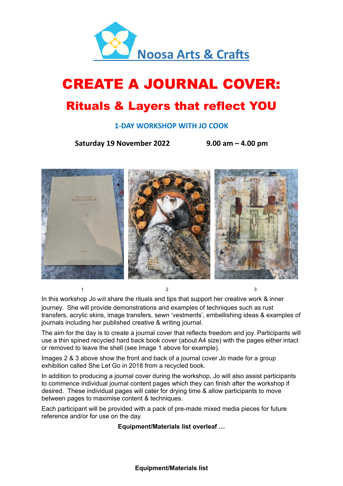

# CREATE A JOURNAL COVER:

## Rituals & Layers that reflect YOU

#### **1-DAY WORKSHOP WITH JO COOK**

**Saturday 19 November 2022 9.00 am – 4.00 pm**



In this workshop Jo will share the rituals and tips that support her creative work & inner journey. She will provide demonstrations and examples of techniques such as rust transfers, acrylic skins, image transfers, sewn 'vestments', embellishing ideas & examples of journals including her published creative & writing journal.

The aim for the day is to create a journal cover that reflects freedom and joy. Participants will use a thin spined recycled hard back book cover (about A4 size) with the pages either intact or removed to leave the shell (see Image 1 above for example).

Images 2 & 3 above show the front and back of a journal cover Jo made for a group exhibition called She Let Go in 2018 from a recycled book.

 $1$  and  $2$  3

In addition to producing a journal cover during the workshop, Jo will also assist participants to commence individual journal content pages which they can finish after the workshop if desired. These individual pages will cater for drying time & allow participants to move between pages to maximise content & techniques.

Each participant will be provided with a pack of pre-made mixed media pieces for future reference and/or for use on the day.

**Equipment/Materials list overleaf …**

**Equipment/Materials list**